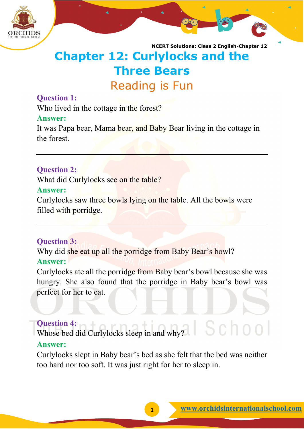

# **Chapter 12: Curlylocks and the Three Bears** Reading is Fun

## **Question 1:**

Who lived in the cottage in the forest?

## **Answer:**

It was Papa bear, Mama bear, and Baby Bear living in the cottage in the forest.

## **Question 2:**

What did Curlylocks see on the table?

## **Answer:**

Curlylocks saw three bowls lying on the table. All the bowls were filled with porridge.

## **Question 3:**

Why did she eat up all the porridge from Baby Bear's bowl?

## **Answer:**

Curlylocks ate all the porridge from Baby bear's bowl because she was hungry. She also found that the porridge in Baby bear's bowl was perfect for her to eat.

## **Question 4:**

Whose bed did Curlylocks sleep in and why?

## **Answer:**

Curlylocks slept in Baby bear's bed as she felt that the bed was neither too hard nor too soft. It was just right for her to sleep in.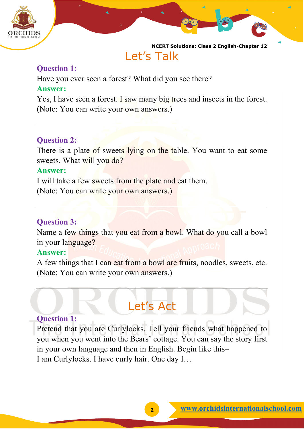

## Let's Talk

## **Question 1:**

Have you ever seen a forest? What did you see there? **Answer:**

Yes, I have seen a forest. I saw many big trees and insects in the forest. (Note: You can write your own answers.)

## **Question 2:**

There is a plate of sweets lying on the table. You want to eat some sweets. What will you do?

## **Answer:**

I will take a few sweets from the plate and eat them.

(Note: You can write your own answers.)

## **Question 3:**

Name a few things that you eat from a bowl. What do you call a bowl in your language?

## **Answer:**

A few things that I can eat from a bowl are fruits, noodles, sweets, etc. (Note: You can write your own answers.)

# Let's Act

## **Question 1:**

Pretend that you are Curlylocks. Tell your friends what happened to you when you went into the Bears' cottage. You can say the story first in your own language and then in English. Begin like this– I am Curlylocks. I have curly hair. One day I…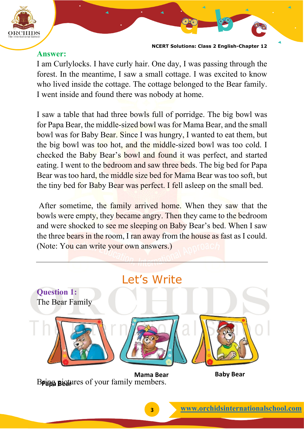

## **Answer:**

I am Curlylocks. I have curly hair. One day, I was passing through the forest. In the meantime, I saw a small cottage. I was excited to know who lived inside the cottage. The cottage belonged to the Bear family. I went inside and found there was nobody at home.

I saw a table that had three bowls full of porridge. The big bowl was for Papa Bear, the middle-sized bowl was for Mama Bear, and the small bowl was for Baby Bear. Since I was hungry, I wanted to eat them, but the big bowl was too hot, and the middle-sized bowl was too cold. I checked the Baby Bear's bowl and found it was perfect, and started eating. I went to the bedroom and saw three beds. The big bed for Papa Bear was too hard, the middle size bed for Mama Bear was too soft, but the tiny bed for Baby Bear was perfect. I fell asleep on the small bed.

After sometime, the family arrived home. When they saw that the bowls were empty, they became angry. Then they came to the bedroom and were shocked to see me sleeping on Baby Bear's bed. When I saw the three bears in the room, I ran away from the house as fast as I could. (Note: You can write your own answers.)



Bring pictures of your family members.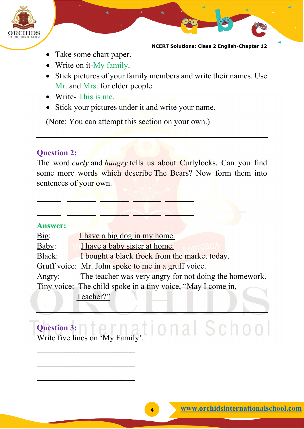

- Take some chart paper.
- Write on it-My family.
- Stick pictures of your family members and write their names. Use Mr. and Mrs. for elder people.
- Write- This is me.
- Stick your pictures under it and write your name.

(Note: You can attempt this section on your own.)

\_\_\_\_\_\_ \_\_\_\_\_\_\_ \_\_\_\_\_\_\_ \_\_\_\_\_\_\_ \_\_\_\_\_\_\_

 $\mathbb{Z}$  ,  $\mathbb{Z}$  ,  $\mathbb{Z}$  ,  $\mathbb{Z}$  ,  $\mathbb{Z}$  ,  $\mathbb{Z}$ 

## **Question 2:**

The word *curly* and *hungry* tells us about Curlylocks. Can you find some more words which describe The Bears? Now form them into sentences of your own.

## **Answer:**

| <u>Big:</u>                                                  | I have a big dog in my home.                           |
|--------------------------------------------------------------|--------------------------------------------------------|
| Baby:                                                        | I have a baby sister at home.                          |
| Black:                                                       | I bought a black frock from the market today.          |
|                                                              | Gruff voice: Mr. John spoke to me in a gruff voice.    |
| Angry:                                                       | The teacher was very angry for not doing the homework. |
| Tiny voice: The child spoke in a tiny voice, "May I come in, |                                                        |
|                                                              | Teacher?"                                              |

## **Question 3:** Question 3: nternational School

 $\overline{\phantom{a}}$  , and the set of the set of the set of the set of the set of the set of the set of the set of the set of the set of the set of the set of the set of the set of the set of the set of the set of the set of the s

\_\_\_\_\_\_\_\_\_\_\_\_\_\_\_\_\_\_\_\_\_\_\_\_

 $\overline{\phantom{a}}$  , and the set of the set of the set of the set of the set of the set of the set of the set of the set of the set of the set of the set of the set of the set of the set of the set of the set of the set of the s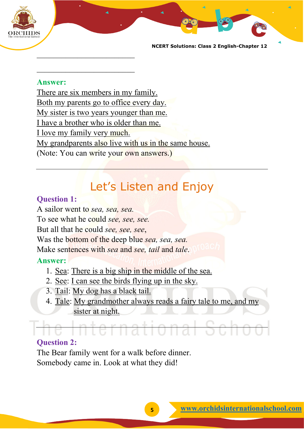

### **Answer:**

 $\overline{\phantom{a}}$  , and the set of the set of the set of the set of the set of the set of the set of the set of the set of the set of the set of the set of the set of the set of the set of the set of the set of the set of the s

\_\_\_\_\_\_\_\_\_\_\_\_\_\_\_\_\_\_\_\_\_\_\_\_

There are six members in my family. Both my parents go to office every day. My sister is two years younger than me. I have a brother who is older than me. I love my family very much. My grandparents also live with us in the same house. (Note: You can write your own answers.)

# Let's Listen and Enjoy

## **Question 1:**

A sailor went to *sea, sea, sea.* To see what he could *see, see, see.* But all that he could *see, see, see*, Was the bottom of the deep blue *sea, sea, sea.* Make sentences with *sea* and *see, tail* and *tale*.

## **Answer:**

- 1. Sea: There is a big ship in the middle of the sea.
- 2. See: I can see the birds flying up in the sky.
- 3. Tail: My dog has a black tail.
- 4. Tale: My grandmother always reads a fairy tale to me, and my sister at night.

## **Question 2:**

The Bear family went for a walk before dinner. Somebody came in. Look at what they did!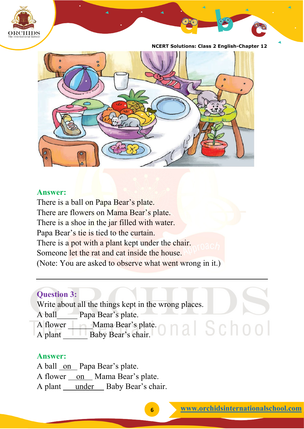



## **Answer:**

There is a ball on Papa Bear's plate. There are flowers on Mama Bear's plate. There is a shoe in the jar filled with water. Papa Bear's tie is tied to the curtain. There is a pot with a plant kept under the chair. Someone let the rat and cat inside the house. (Note: You are asked to observe what went wrong in it.)

## **Question 3:**

Write about all the things kept in the wrong places. A ball Papa Bear's plate. A flower Mama Bear's plate. A plant Baby Bear's chair.

## **Answer:**

A ball on Papa Bear's plate. A flower on Mama Bear's plate. A plant under Baby Bear's chair.